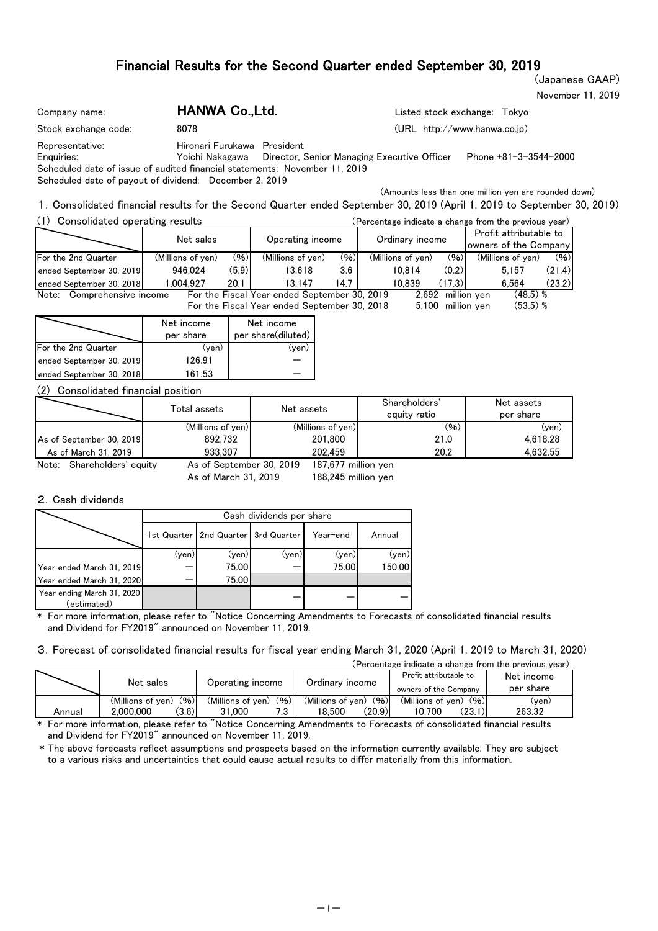(Japanese GAAP)

November 11, 2019

| Company name:                                                                                                                                                         | HANWA Co.,Ltd.              | Listed stock exchange: Tokyo                                                           |
|-----------------------------------------------------------------------------------------------------------------------------------------------------------------------|-----------------------------|----------------------------------------------------------------------------------------|
| Stock exchange code:                                                                                                                                                  | 8078                        | (URL http://www.hanwa.co.jp)                                                           |
| Representative:<br>Enquiries:<br>Scheduled date of issue of audited financial statements: November 11, 2019<br>Scheduled date of payout of dividend: December 2, 2019 | Hironari Furukawa President | Yoichi Nakagawa - Director, Senior Managing Executive Officer<br>Phone +81-3-3544-2000 |
|                                                                                                                                                                       |                             | (Amounts less than one million yen are rounded down)                                   |

1.Consolidated financial results for the Second Quarter ended September 30, 2019 (April 1, 2019 to September 30, 2019)

| Consolidated operating results |                   |       |                                              | (Percentage indicate a change from the previous year) |                   |        |                                                 |        |
|--------------------------------|-------------------|-------|----------------------------------------------|-------------------------------------------------------|-------------------|--------|-------------------------------------------------|--------|
|                                | Net sales         |       | Operating income                             |                                                       | Ordinary income   |        | Profit attributable to<br>owners of the Company |        |
| For the 2nd Quarter            | (Millions of yen) | (96)  | (Millions of yen)                            | (96)                                                  | (Millions of yen) | (96)   | (Millions of yen)                               | (96)   |
| ended September 30, 2019       | 946.024           | (5.9) | 13.618                                       | 3.6                                                   | 10.814            | (0.2)  | 5.157                                           | (21.4) |
| ended September 30, 2018       | .004.927          | 20.1  | 13.147                                       | 14.7 I                                                | 10.839            | (17.3) | 6.564                                           | (23.2) |
| Comprehensive income<br>Note:  |                   |       | For the Fiscal Year ended September 30, 2019 |                                                       | 2.692             |        | $(48.5)$ %<br>million ven                       |        |
|                                |                   |       | For the Fiscal Year ended September 30, 2018 |                                                       | 5.100             |        | $(53.5)$ %<br>million yen                       |        |

|                            | Net income<br>per share | Net income<br>per share(diluted) |
|----------------------------|-------------------------|----------------------------------|
| <b>For the 2nd Quarter</b> | (ven)                   | (ven)                            |
| ended September 30, 2019   | 126.91                  |                                  |
| ended September 30, 2018   | 161.53                  |                                  |

### (2) Consolidated financial position

|                               | Total assets             | Net assets          | Shareholders'<br>equity ratio | Net assets<br>per share |
|-------------------------------|--------------------------|---------------------|-------------------------------|-------------------------|
|                               | (Millions of yen)        | (Millions of yen)   | (96)                          | (ven)                   |
| As of September 30, 2019      | 892.732                  | 201.800             | 21.0                          | 4.618.28                |
| As of March 31, 2019          | 933.307                  | 202.459             | 20.2                          | 4.632.55                |
| Shareholders' equity<br>Note: | As of September 30, 2019 | 187,677 million ven |                               |                         |

As of March 31, 2019

 $H$ ANWA  $O<sub>1</sub>$  Ltd.

188,245 million yen 187,677

### 2.Cash dividends

|                                           |       | Cash dividends per share                |       |          |        |  |  |  |  |  |  |  |
|-------------------------------------------|-------|-----------------------------------------|-------|----------|--------|--|--|--|--|--|--|--|
|                                           |       | 1st Quarter   2nd Quarter   3rd Quarter |       | Year-end | Annual |  |  |  |  |  |  |  |
|                                           | (yen) | (yen)l                                  | (yen) | (yen)    | (yen)  |  |  |  |  |  |  |  |
| Year ended March 31, 2019                 |       | 75.00                                   |       | 75.00    | 150.00 |  |  |  |  |  |  |  |
| Year ended March 31, 2020                 |       | 75.00                                   |       |          |        |  |  |  |  |  |  |  |
| Year ending March 31, 2020<br>(estimated) |       |                                         |       |          |        |  |  |  |  |  |  |  |

\* For more information, please refer to "Notice Concerning Amendments to Forecasts of consolidated financial results and Dividend for FY2019" announced on November 11, 2019.

3.Forecast of consolidated financial results for fiscal year ending March 31, 2020 (April 1, 2019 to March 31, 2020)

| (Percentage indicate a change from the previous year) |  |  |  |  |
|-------------------------------------------------------|--|--|--|--|
|                                                       |  |  |  |  |

|        | Net sales                                       | Operating income                                    | Ordinary income                               | Profit attributable to<br>owners of the Company | Net income<br>per share |
|--------|-------------------------------------------------|-----------------------------------------------------|-----------------------------------------------|-------------------------------------------------|-------------------------|
| Annual | (96)<br>(Millions of ven)<br>(3.6)<br>2.000.000 | (96)<br>(Millions of ven)<br>- פ<br>1.000 ک<br>ن. ا | (96)<br>(Millions of ven)<br>(20.9)<br>18.500 | (96)<br>(Millions of ven)<br>(23.1)<br>10.700   | (yen)<br>263.32         |

\* For more information, please refer to "Notice Concerning Amendments to Forecasts of consolidated financial results and Dividend for FY2019" announced on November 11, 2019.

\* The above forecasts reflect assumptions and prospects based on the information currently available. They are subject to a various risks and uncertainties that could cause actual results to differ materially from this information.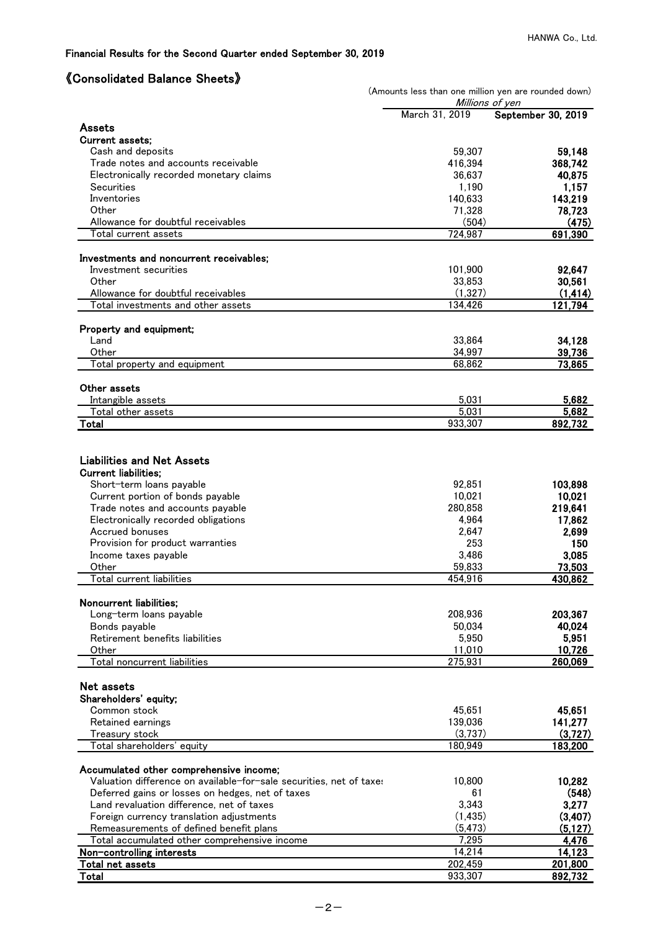# 《Consolidated Balance Sheets》

|                                                                     | (Amounts less than one million yen are rounded down) |                                       |
|---------------------------------------------------------------------|------------------------------------------------------|---------------------------------------|
|                                                                     | March 31, 2019                                       | Millions of yen<br>September 30, 2019 |
| Assets                                                              |                                                      |                                       |
| <b>Current assets:</b>                                              |                                                      |                                       |
| Cash and deposits                                                   | 59,307                                               | 59,148                                |
| Trade notes and accounts receivable                                 | 416,394                                              | 368,742                               |
| Electronically recorded monetary claims                             | 36,637                                               | 40,875                                |
| Securities                                                          | 1,190                                                | 1,157                                 |
| Inventories                                                         | 140,633                                              | 143,219                               |
| Other                                                               | 71,328                                               | 78,723                                |
| Allowance for doubtful receivables                                  | (504)                                                | (475)                                 |
| Total current assets                                                | 724.987                                              | 691.390                               |
| Investments and noncurrent receivables;                             |                                                      |                                       |
| Investment securities                                               | 101,900                                              | 92,647                                |
| Other                                                               | 33,853                                               | 30,561                                |
| Allowance for doubtful receivables                                  | (1, 327)                                             | (1, 414)                              |
| Total investments and other assets                                  | 134,426                                              | 121,794                               |
| Property and equipment;                                             |                                                      |                                       |
| Land                                                                | 33,864                                               | 34,128                                |
| Other                                                               | 34,997                                               | 39,736                                |
| Total property and equipment                                        | 68,862                                               | 73,865                                |
|                                                                     |                                                      |                                       |
| Other assets                                                        |                                                      |                                       |
| Intangible assets                                                   | 5,031<br>5,031                                       | 5,682<br>5,682                        |
| Total other assets<br>Total                                         | 933,307                                              | 892,732                               |
|                                                                     |                                                      |                                       |
|                                                                     |                                                      |                                       |
| <b>Liabilities and Net Assets</b>                                   |                                                      |                                       |
| <b>Current liabilities;</b><br>Short-term loans payable             | 92,851                                               | 103,898                               |
| Current portion of bonds payable                                    | 10,021                                               | 10,021                                |
| Trade notes and accounts payable                                    | 280,858                                              | 219,641                               |
| Electronically recorded obligations                                 | 4,964                                                | 17,862                                |
| Accrued bonuses                                                     | 2,647                                                | 2,699                                 |
| Provision for product warranties                                    | 253                                                  | 150                                   |
| Income taxes payable                                                | 3,486                                                | 3,085                                 |
| Other                                                               | 59,833                                               | 73,503                                |
| Total current liabilities                                           | 454,916                                              | 430,862                               |
| Noncurrent liabilities;                                             |                                                      |                                       |
| Long-term loans payable                                             | 208,936                                              | 203,367                               |
| Bonds payable                                                       | 50,034                                               | 40,024                                |
| Retirement benefits liabilities                                     | 5,950                                                | 5,951                                 |
| Other                                                               | 11,010                                               | 10,726                                |
| Total noncurrent liabilities                                        | 275,931                                              | 260,069                               |
|                                                                     |                                                      |                                       |
| Net assets                                                          |                                                      |                                       |
| Shareholders' equity;                                               |                                                      |                                       |
| Common stock                                                        | 45,651                                               | 45,651                                |
| Retained earnings                                                   | 139,036                                              | 141,277                               |
| Treasury stock<br>Total shareholders' equity                        | (3,737)<br>180,949                                   | (3,727)<br>183,200                    |
|                                                                     |                                                      |                                       |
| Accumulated other comprehensive income;                             |                                                      |                                       |
| Valuation difference on available-for-sale securities, net of taxes | 10,800                                               | 10,282                                |
| Deferred gains or losses on hedges, net of taxes                    | 61                                                   | (548)                                 |
| Land revaluation difference, net of taxes                           | 3,343                                                | 3,277                                 |
| Foreign currency translation adjustments                            | (1, 435)                                             | (3,407)                               |
| Remeasurements of defined benefit plans                             | (5, 473)                                             | (5, 127)                              |
| Total accumulated other comprehensive income                        | 7,295                                                | 4,476                                 |
| Non-controlling interests                                           | 14,214                                               | 14,123                                |
| Total net assets                                                    | 202,459                                              | 201,800                               |
| Total                                                               | 933,307                                              | 892,732                               |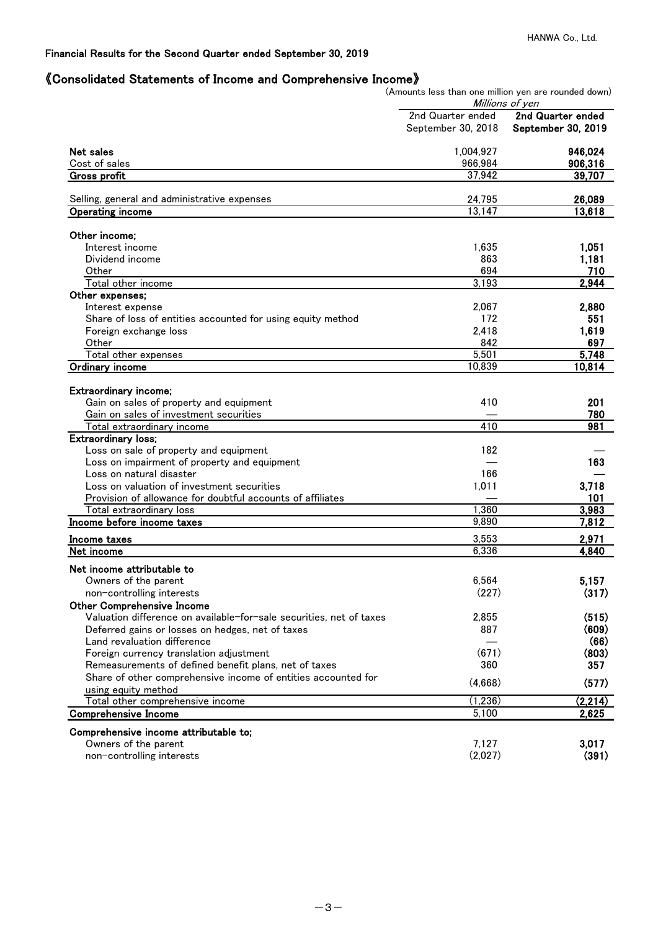# 《Consolidated Statements of Income and Comprehensive Income》

(Amounts less than one million yen are rounded down)

|                                                                                        |                    | Millions of yen    |
|----------------------------------------------------------------------------------------|--------------------|--------------------|
|                                                                                        | 2nd Quarter ended  | 2nd Quarter ended  |
|                                                                                        | September 30, 2018 | September 30, 2019 |
| Net sales                                                                              | 1,004,927          | 946,024            |
| Cost of sales                                                                          | 966,984            | 906,316            |
| Gross profit                                                                           | 37,942             | 39,707             |
| Selling, general and administrative expenses                                           | 24,795             | 26,089             |
| <b>Operating income</b>                                                                | 13,147             | 13,618             |
|                                                                                        |                    |                    |
| Other income;                                                                          |                    |                    |
| Interest income                                                                        | 1,635              | 1,051              |
| Dividend income                                                                        | 863                | 1,181              |
| Other                                                                                  | 694                | 710                |
| Total other income                                                                     | 3,193              | 2,944              |
| Other expenses;                                                                        |                    |                    |
| Interest expense                                                                       | 2,067              | 2,880              |
| Share of loss of entities accounted for using equity method                            | 172                | 551                |
| Foreign exchange loss                                                                  | 2,418              | 1,619              |
| Other                                                                                  | 842                | 697                |
| Total other expenses                                                                   | 5,501              | 5,748              |
| Ordinary income                                                                        | 10,839             | 10,814             |
|                                                                                        |                    |                    |
| Extraordinary income;                                                                  |                    |                    |
| Gain on sales of property and equipment                                                | 410                | 201                |
| Gain on sales of investment securities                                                 | 410                | 780<br>981         |
| Total extraordinary income<br><b>Extraordinary loss;</b>                               |                    |                    |
|                                                                                        | 182                |                    |
| Loss on sale of property and equipment<br>Loss on impairment of property and equipment |                    | 163                |
| Loss on natural disaster                                                               | 166                |                    |
| Loss on valuation of investment securities                                             | 1,011              | 3,718              |
| Provision of allowance for doubtful accounts of affiliates                             |                    | 101                |
| Total extraordinary loss                                                               | 1,360              | 3,983              |
| Income before income taxes                                                             | 9,890              | 7,812              |
|                                                                                        |                    |                    |
| Income taxes<br>Net income                                                             | 3,553<br>6,336     | 2,971<br>4,840     |
|                                                                                        |                    |                    |
| Net income attributable to                                                             |                    |                    |
| Owners of the parent                                                                   | 6.564              | 5,157              |
| non-controlling interests                                                              | (227)              | (317)              |
| <b>Other Comprehensive Income</b>                                                      |                    |                    |
| Valuation difference on available-for-sale securities, net of taxes                    | 2,855              | (515)              |
| Deferred gains or losses on hedges, net of taxes                                       | 887                | (609)              |
| Land revaluation difference                                                            |                    | (66)               |
| Foreign currency translation adjustment                                                | (671)              | (803)              |
| Remeasurements of defined benefit plans, net of taxes                                  | 360                | 357                |
| Share of other comprehensive income of entities accounted for                          | (4,668)            | (577)              |
| using equity method                                                                    |                    |                    |
| Total other comprehensive income                                                       | (1,236)            | (2,214)            |
| <b>Comprehensive Income</b>                                                            | 5,100              | 2,625              |
| Comprehensive income attributable to;                                                  |                    |                    |
| Owners of the parent                                                                   | 7,127              | 3,017              |
| non-controlling interests                                                              | (2,027)            | (391)              |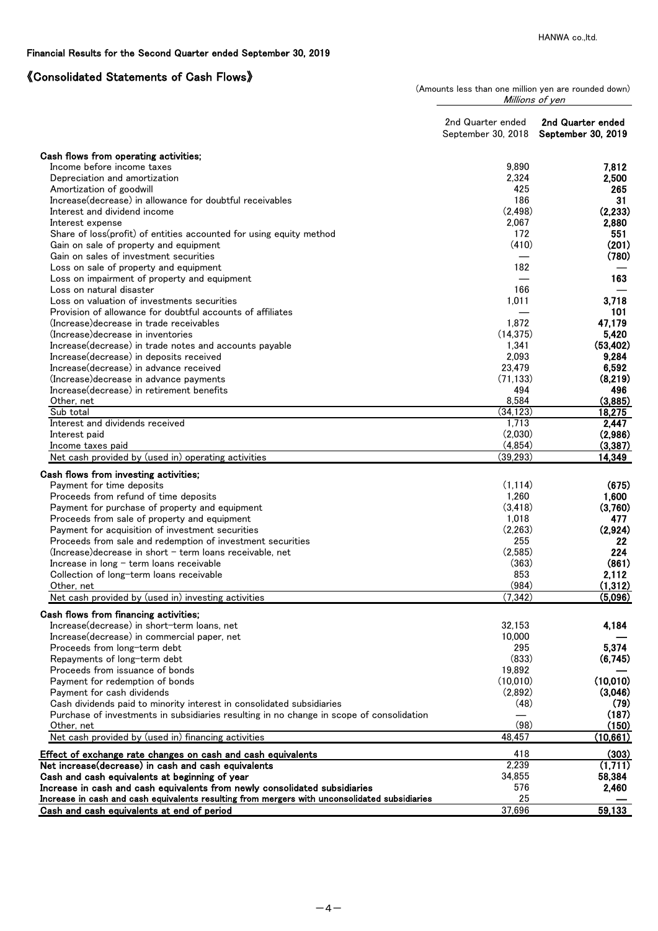# 《Consolidated Statements of Cash Flows》

(Amounts less than one million yen are rounded down) Millions of yen

|                                                                                                                                                                                                                                                                                                                                                                                                  | 2nd Quarter ended<br>September 30, 2018                              | 2nd Quarter ended<br>September 30, 2019                  |
|--------------------------------------------------------------------------------------------------------------------------------------------------------------------------------------------------------------------------------------------------------------------------------------------------------------------------------------------------------------------------------------------------|----------------------------------------------------------------------|----------------------------------------------------------|
| Cash flows from operating activities;                                                                                                                                                                                                                                                                                                                                                            |                                                                      |                                                          |
| Income before income taxes                                                                                                                                                                                                                                                                                                                                                                       | 9,890                                                                | 7,812                                                    |
| Depreciation and amortization                                                                                                                                                                                                                                                                                                                                                                    | 2,324                                                                | 2,500                                                    |
| Amortization of goodwill                                                                                                                                                                                                                                                                                                                                                                         | 425                                                                  | 265                                                      |
| Increase (decrease) in allowance for doubtful receivables                                                                                                                                                                                                                                                                                                                                        | 186                                                                  | 31                                                       |
| Interest and dividend income                                                                                                                                                                                                                                                                                                                                                                     | (2, 498)                                                             | (2, 233)                                                 |
| Interest expense                                                                                                                                                                                                                                                                                                                                                                                 | 2,067                                                                | 2,880                                                    |
| Share of loss(profit) of entities accounted for using equity method                                                                                                                                                                                                                                                                                                                              | 172                                                                  | 551                                                      |
| Gain on sale of property and equipment                                                                                                                                                                                                                                                                                                                                                           | (410)                                                                | (201)                                                    |
| Gain on sales of investment securities                                                                                                                                                                                                                                                                                                                                                           |                                                                      | (780)                                                    |
| Loss on sale of property and equipment                                                                                                                                                                                                                                                                                                                                                           | 182                                                                  |                                                          |
| Loss on impairment of property and equipment                                                                                                                                                                                                                                                                                                                                                     |                                                                      | 163                                                      |
| Loss on natural disaster                                                                                                                                                                                                                                                                                                                                                                         | 166                                                                  |                                                          |
| Loss on valuation of investments securities                                                                                                                                                                                                                                                                                                                                                      | 1,011                                                                | 3,718                                                    |
| Provision of allowance for doubtful accounts of affiliates                                                                                                                                                                                                                                                                                                                                       |                                                                      | 101                                                      |
| (Increase) decrease in trade receivables                                                                                                                                                                                                                                                                                                                                                         | 1,872                                                                | 47,179                                                   |
| (Increase) decrease in inventories                                                                                                                                                                                                                                                                                                                                                               | (14, 375)                                                            | 5,420                                                    |
| Increase(decrease) in trade notes and accounts payable                                                                                                                                                                                                                                                                                                                                           | 1,341                                                                | (53, 402)                                                |
| Increase (decrease) in deposits received                                                                                                                                                                                                                                                                                                                                                         | 2,093                                                                | 9,284                                                    |
| Increase(decrease) in advance received                                                                                                                                                                                                                                                                                                                                                           | 23,479                                                               | 6,592                                                    |
| (Increase) decrease in advance payments                                                                                                                                                                                                                                                                                                                                                          | (71, 133)                                                            | (8,219)                                                  |
| Increase(decrease) in retirement benefits                                                                                                                                                                                                                                                                                                                                                        | 494                                                                  | 496                                                      |
| Other, net                                                                                                                                                                                                                                                                                                                                                                                       | 8,584                                                                | (3,885)                                                  |
| Sub total                                                                                                                                                                                                                                                                                                                                                                                        | (34, 123)                                                            | 18,275                                                   |
| Interest and dividends received                                                                                                                                                                                                                                                                                                                                                                  | 1,713                                                                | 2,447                                                    |
| Interest paid                                                                                                                                                                                                                                                                                                                                                                                    | (2,030)<br>(4, 854)                                                  | (2,986)                                                  |
| Income taxes paid<br>Net cash provided by (used in) operating activities                                                                                                                                                                                                                                                                                                                         | (39, 293)                                                            | (3, 387)<br>14,349                                       |
| Cash flows from investing activities;<br>Payment for time deposits<br>Proceeds from refund of time deposits<br>Payment for purchase of property and equipment<br>Proceeds from sale of property and equipment<br>Payment for acquisition of investment securities<br>Proceeds from sale and redemption of investment securities<br>$(Increase) decrease$ in short $-$ term loans receivable, net | (1, 114)<br>1,260<br>(3, 418)<br>1,018<br>(2, 263)<br>255<br>(2,585) | (675)<br>1,600<br>(3,760)<br>477<br>(2,924)<br>22<br>224 |
|                                                                                                                                                                                                                                                                                                                                                                                                  |                                                                      | (861)                                                    |
| Increase in long $-$ term loans receivable<br>Collection of long-term loans receivable                                                                                                                                                                                                                                                                                                           | (363)<br>853                                                         | 2,112                                                    |
| Other, net                                                                                                                                                                                                                                                                                                                                                                                       | (984)                                                                | (1, 312)                                                 |
| Net cash provided by (used in) investing activities                                                                                                                                                                                                                                                                                                                                              | (7, 342)                                                             | (5,096)                                                  |
|                                                                                                                                                                                                                                                                                                                                                                                                  |                                                                      |                                                          |
| Cash flows from financing activities;                                                                                                                                                                                                                                                                                                                                                            |                                                                      |                                                          |
| Increase(decrease) in short-term loans, net                                                                                                                                                                                                                                                                                                                                                      | 32,153                                                               | 4,184                                                    |
| Increase(decrease) in commercial paper, net                                                                                                                                                                                                                                                                                                                                                      | 10,000                                                               |                                                          |
| Proceeds from long-term debt                                                                                                                                                                                                                                                                                                                                                                     | 295                                                                  | 5,374                                                    |
| Repayments of long-term debt                                                                                                                                                                                                                                                                                                                                                                     | (833)                                                                | (6,745)                                                  |
| Proceeds from issuance of bonds                                                                                                                                                                                                                                                                                                                                                                  | 19,892                                                               |                                                          |
| Payment for redemption of bonds                                                                                                                                                                                                                                                                                                                                                                  | (10,010)                                                             | (10,010)                                                 |
| Payment for cash dividends                                                                                                                                                                                                                                                                                                                                                                       | (2,892)                                                              | (3,046)                                                  |
| Cash dividends paid to minority interest in consolidated subsidiaries                                                                                                                                                                                                                                                                                                                            | (48)                                                                 | (79)                                                     |
| Purchase of investments in subsidiaries resulting in no change in scope of consolidation                                                                                                                                                                                                                                                                                                         | (98)                                                                 | (187)<br>(150)                                           |
| Other, net<br>Net cash provided by (used in) financing activities                                                                                                                                                                                                                                                                                                                                | 48,457                                                               | (10, 661)                                                |
|                                                                                                                                                                                                                                                                                                                                                                                                  | 418                                                                  | (303)                                                    |
| Effect of exchange rate changes on cash and cash equivalents<br>Net increase(decrease) in cash and cash equivalents                                                                                                                                                                                                                                                                              | 2,239                                                                | (1,711)                                                  |
| Cash and cash equivalents at beginning of year                                                                                                                                                                                                                                                                                                                                                   | 34,855                                                               | 58,384                                                   |
| Increase in cash and cash equivalents from newly consolidated subsidiaries                                                                                                                                                                                                                                                                                                                       | 576                                                                  | 2,460                                                    |
| Increase in cash and cash equivalents resulting from mergers with unconsolidated subsidiaries                                                                                                                                                                                                                                                                                                    | 25                                                                   |                                                          |
| Cash and cash equivalents at end of period                                                                                                                                                                                                                                                                                                                                                       | 37,696                                                               | 59,133                                                   |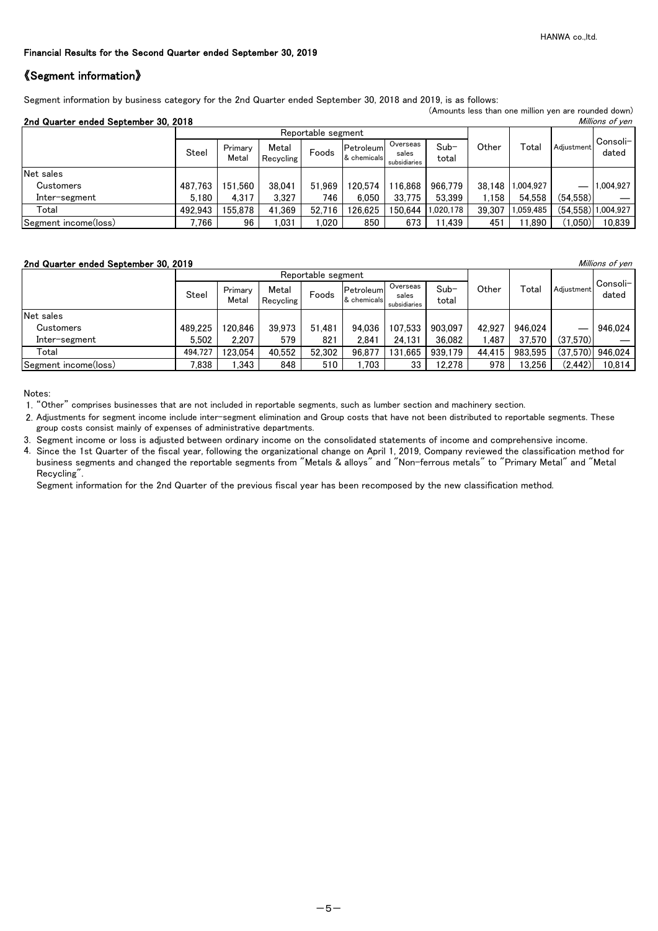## 《Segment information》

Segment information by business category for the 2nd Quarter ended September 30, 2018 and 2019, is as follows:

|                                                         |         |                  |                    |                    |                          |                                   |                 |        | (Amounts less than one million yen are rounded down) |            |                    |  |
|---------------------------------------------------------|---------|------------------|--------------------|--------------------|--------------------------|-----------------------------------|-----------------|--------|------------------------------------------------------|------------|--------------------|--|
| 2nd Quarter ended September 30, 2018<br>Millions of yen |         |                  |                    |                    |                          |                                   |                 |        |                                                      |            |                    |  |
|                                                         |         |                  |                    | Reportable segment |                          |                                   |                 |        |                                                      | Adiustment |                    |  |
|                                                         | Steel   | Primary<br>Metal | Metal<br>Recycling | Foods              | Petroleum<br>& chemicals | Overseas<br>sales<br>subsidiaries | $Sub-$<br>total | Other  | Total                                                |            | Consoli-<br>dated  |  |
| Net sales                                               |         |                  |                    |                    |                          |                                   |                 |        |                                                      |            |                    |  |
| Customers                                               | 487.763 | 151.560          | 38,041             | 51.969             | 120.574                  | 116.868                           | 966,779         |        | 38,148 1,004,927                                     | —          | 1.004.927          |  |
| Inter-segment                                           | 5.180   | 4.317            | 3,327              | 746                | 6.050                    | 33.775                            | 53,399          | .158   | 54.558                                               | (54,558)   |                    |  |
| Total                                                   | 492.943 | 155.878          | 41,369             | 52.716             | 126.625                  | 150.644                           | .020,178        | 39.307 | 1,059,485                                            |            | (54,558) 1,004,927 |  |
| Segment income(loss)                                    | 766.∛   | 96               | ,031               | 1,020              | 850                      | 673                               | 11.439          | 451    | 11,890                                               | (1,050)    | 10,839             |  |

#### 2nd Quarter ended September 30, 2019 **Millions of yen** Millions of yen

|                      |         |                  |                    | Reportable segment |                          |                                   |                 |        |         |            |                    |
|----------------------|---------|------------------|--------------------|--------------------|--------------------------|-----------------------------------|-----------------|--------|---------|------------|--------------------|
|                      | Steel   | Primary<br>Metal | Metal<br>Recvoling | Foods              | Petroleum<br>& chemicals | Overseas<br>sales<br>subsidiaries | $Sub-$<br>total | Other  | Total   | Adiustment | Consoli-<br>dated  |
| Net sales            |         |                  |                    |                    |                          |                                   |                 |        |         |            |                    |
| Customers            | 489.225 | 120.846          | 39,973             | 51.481             | 94,036                   | 107.533                           | 903,097         | 42.927 | 946.024 |            | 946.024            |
| Inter-segment        | 5.502   | 2,207            | 579                | 821                | 2.841                    | 24.131                            | 36,082          | ,487   | 37.570  | (37,570)   |                    |
| Total                | 494.727 | 123.054          | 40,552             | 52,302             | 96.877                   | 131,665                           | 939.179         | 44.415 | 983.595 |            | $(37,570)$ 946,024 |
| Segment income(loss) | 7,838   | .343             | 848                | 510                | .703                     | 33                                | 12,278          | 978    | 13,256  | (2, 442)   | 10,814             |

Notes:

1. "Other" comprises businesses that are not included in reportable segments, such as lumber section and machinery section.

- 2. Adjustments for segment income include inter-segment elimination and Group costs that have not been distributed to reportable segments. These group costs consist mainly of expenses of administrative departments.
- 3. Segment income or loss is adjusted between ordinary income on the consolidated statements of income and comprehensive income.
- 4. Since the 1st Quarter of the fiscal year, following the organizational change on April 1, 2019, Company reviewed the classification method for business segments and changed the reportable segments from "Metals & alloys" and "Non-ferrous metals" to "Primary Metal" and "Metal Recycling".

Segment information for the 2nd Quarter of the previous fiscal year has been recomposed by the new classification method.